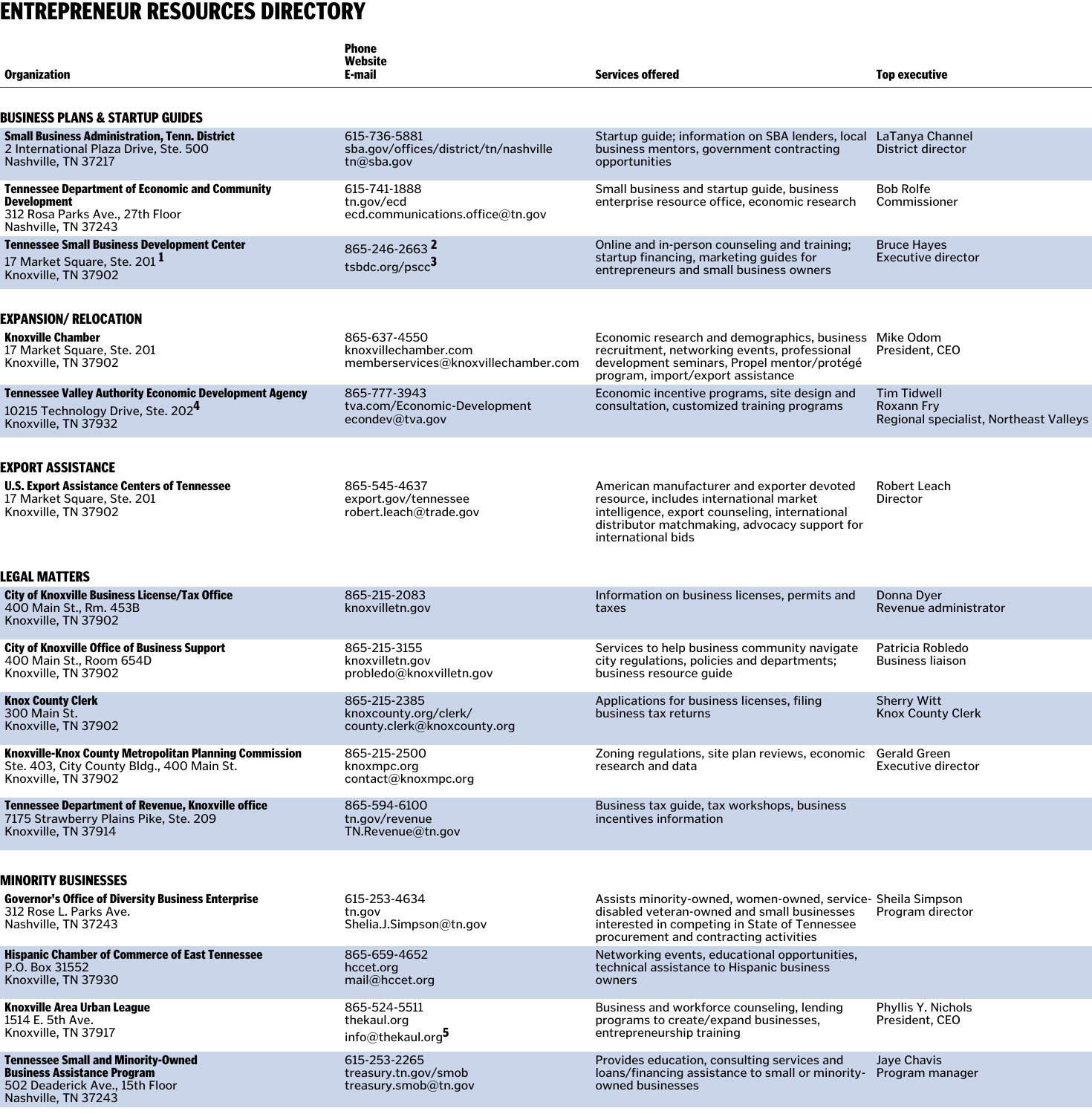## ENTREPRENEUR RESOURCES DIRECTORY

| <b>Organization</b>                                                                                                                           | <b>Phone</b><br>Website<br>E-mail                                           | <b>Services offered</b>                                                                                                                                                                                        | <b>Top executive</b>                                                       |
|-----------------------------------------------------------------------------------------------------------------------------------------------|-----------------------------------------------------------------------------|----------------------------------------------------------------------------------------------------------------------------------------------------------------------------------------------------------------|----------------------------------------------------------------------------|
| Business plans & Startup Guides                                                                                                               |                                                                             |                                                                                                                                                                                                                |                                                                            |
| <b>Small Business Administration, Tenn. District</b><br>2 International Plaza Drive, Ste. 500<br>Nashville, TN 37217                          | 615-736-5881<br>sba.gov/offices/district/tn/nashville<br>tn@sba.gov         | Startup guide; information on SBA lenders, local LaTanya Channel<br>business mentors, government contracting<br>opportunities                                                                                  | District director                                                          |
| <b>Tennessee Department of Economic and Community</b><br><b>Development</b><br>312 Rosa Parks Ave., 27th Floor<br>Nashville, TN 37243         | 615-741-1888<br>tn.gov/ecd<br>ecd.communications.office@tn.gov              | Small business and startup guide, business<br>enterprise resource office, economic research                                                                                                                    | <b>Bob Rolfe</b><br>Commissioner                                           |
| <b>Tennessee Small Business Development Center</b><br>17 Market Square, Ste. 201 <sup>1</sup><br>Knoxville, TN 37902                          | 865-246-2663 <sup>2</sup><br>tsbdc.org/pscc <sup>3</sup>                    | Online and in-person counseling and training;<br>startup financing, marketing guides for<br>entrepreneurs and small business owners                                                                            | <b>Bruce Hayes</b><br><b>Executive director</b>                            |
| EXPANSION/RELOCATION                                                                                                                          |                                                                             |                                                                                                                                                                                                                |                                                                            |
| <b>Knoxville Chamber</b><br>17 Market Square, Ste. 201<br>Knoxville, TN 37902                                                                 | 865-637-4550<br>knoxvillechamber.com<br>memberservices@knoxvillechamber.com | Economic research and demographics, business Mike Odom<br>recruitment, networking events, professional<br>development seminars, Propel mentor/protégé<br>program, import/export assistance                     | President, CEO                                                             |
| <b>Tennessee Valley Authority Economic Development Agency</b><br>10215 Technology Drive, Ste. 202 <sup>4</sup><br>Knoxville, TN 37932         | 865-777-3943<br>tva.com/Economic-Development<br>econdev@tva.gov             | Economic incentive programs, site design and<br>consultation, customized training programs                                                                                                                     | <b>Tim Tidwell</b><br>Roxann Fry<br>Regional specialist, Northeast Valleys |
| Export assistance<br><b>U.S. Export Assistance Centers of Tennessee</b><br>17 Market Square, Ste. 201<br>Knoxville, TN 37902<br>LEGAL MATTERS | 865-545-4637<br>export.gov/tennessee<br>robert.leach@trade.gov              | American manufacturer and exporter devoted<br>resource, includes international market<br>intelligence, export counseling, international<br>distributor matchmaking, advocacy support for<br>international bids | <b>Robert Leach</b><br>Director                                            |
| <b>City of Knoxville Business License/Tax Office</b><br>400 Main St., Rm. 453B<br>Knoxville, TN 37902                                         | 865-215-2083<br>knoxvilletn.gov                                             | Information on business licenses, permits and<br>taxes                                                                                                                                                         | Donna Dyer<br>Revenue administrator                                        |
| <b>City of Knoxville Office of Business Support</b><br>400 Main St., Room 654D<br>Knoxville, TN 37902                                         | 865-215-3155<br>knoxvilletn.gov<br>probledo@knoxvilletn.gov                 | Services to help business community navigate<br>city regulations, policies and departments;<br>business resource guide                                                                                         | Patricia Robledo<br><b>Business liaison</b>                                |
| <b>Knox County Clerk</b><br>300 Main St.<br>Knoxville, TN 37902                                                                               | 865-215-2385<br>knoxcounty.org/clerk/<br>county.clerk@knoxcounty.org        | Applications for business licenses, filing<br>business tax returns                                                                                                                                             | <b>Sherry Witt</b><br><b>Knox County Clerk</b>                             |
| Knoxville-Knox County Metropolitan Planning Commission<br>Ste. 403, City County Bldg., 400 Main St.<br>Knoxville, TN 37902                    | 865-215-2500<br>knoxmpc.org<br>contact@knoxmpc.org                          | Zoning regulations, site plan reviews, economic Gerald Green<br>research and data                                                                                                                              | Executive director                                                         |
| <b>Tennessee Department of Revenue, Knoxville office</b><br>7175 Strawberry Plains Pike, Ste. 209<br>Knoxville, TN 37914                      | 865-594-6100<br>tn.gov/revenue<br>$TN$ . Revenue@tn.gov                     | Business tax guide, tax workshops, business<br>incentives information                                                                                                                                          |                                                                            |
| <b>MINORITY BUSINESSES</b><br><b>Governor's Office of Diversity Business Enterprise</b><br>312 Rose L. Parks Ave.<br>Nashville, TN 37243      | 615-253-4634<br>tn.gov<br>Shelia.J.Simpson@tn.gov                           | Assists minority-owned, women-owned, service- Sheila Simpson<br>disabled veteran-owned and small businesses<br>interested in competing in State of Tennessee<br>procurement and contracting activities         | Program director                                                           |
| <b>Hispanic Chamber of Commerce of East Tennessee</b><br>P.O. Box 31552<br>Knoxville, TN 37930                                                | 865-659-4652<br>hccet.org<br>mail@hccet.org                                 | Networking events, educational opportunities,<br>technical assistance to Hispanic business<br>owners                                                                                                           |                                                                            |
| Knoxville Area Urban League<br>1514 E. 5th Ave.<br>Knoxville, TN 37917                                                                        | 865-524-5511<br>thekaul.org<br>info@thekaul.org <sup>5</sup>                | Business and workforce counseling, lending<br>programs to create/expand businesses,<br>entrepreneurship training                                                                                               | Phyllis Y. Nichols<br>President, CEO                                       |
| <b>Tennessee Small and Minority-Owned</b><br><b>Business Assistance Program</b><br>502 Deaderick Ave., 15th Floor<br>Nashville, TN 37243      | 615-253-2265<br>treasury.tn.gov/smob<br>treasury.smob@tn.gov                | Provides education, consulting services and<br>loans/financing assistance to small or minority- Program manager<br>owned businesses                                                                            | Jaye Chavis                                                                |